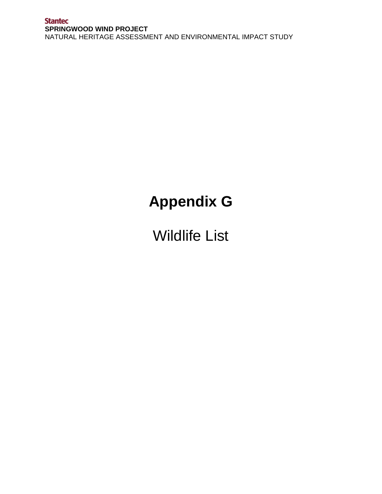## **Appendix G**

Wildlife List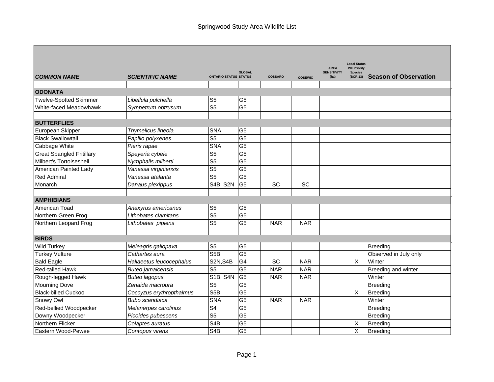|                                  |                          |                              |                |                |                | <b>AREA</b>                | <b>Local Status</b><br><b>PIF Priority</b> |                              |
|----------------------------------|--------------------------|------------------------------|----------------|----------------|----------------|----------------------------|--------------------------------------------|------------------------------|
| <b>COMMON NAME</b>               | <b>SCIENTIFIC NAME</b>   | <b>ONTARIO STATUS STATUS</b> | <b>GLOBAL</b>  | <b>COSSARO</b> | <b>COSEWIC</b> | <b>SENSITIVITY</b><br>(ha) | <b>Species</b><br>(BCR 13)                 | <b>Season of Observation</b> |
|                                  |                          |                              |                |                |                |                            |                                            |                              |
| <b>ODONATA</b>                   |                          |                              |                |                |                |                            |                                            |                              |
| <b>Twelve-Spotted Skimmer</b>    | Libellula pulchella      | S <sub>5</sub>               | G <sub>5</sub> |                |                |                            |                                            |                              |
| White-faced Meadowhawk           | Sympetrum obtrusum       | S <sub>5</sub>               | G <sub>5</sub> |                |                |                            |                                            |                              |
|                                  |                          |                              |                |                |                |                            |                                            |                              |
| <b>BUTTERFLIES</b>               |                          |                              |                |                |                |                            |                                            |                              |
| European Skipper                 | Thymelicus lineola       | <b>SNA</b>                   | G <sub>5</sub> |                |                |                            |                                            |                              |
| <b>Black Swallowtail</b>         | Papilio polyxenes        | S <sub>5</sub>               | G <sub>5</sub> |                |                |                            |                                            |                              |
| Cabbage White                    | Pieris rapae             | <b>SNA</b>                   | G <sub>5</sub> |                |                |                            |                                            |                              |
| <b>Great Spangled Fritillary</b> | Speyeria cybele          | S <sub>5</sub>               | G <sub>5</sub> |                |                |                            |                                            |                              |
| Milbert's Tortoiseshell          | Nymphalis milberti       | S <sub>5</sub>               | G <sub>5</sub> |                |                |                            |                                            |                              |
| American Painted Lady            | Vanessa virginiensis     | S <sub>5</sub>               | G <sub>5</sub> |                |                |                            |                                            |                              |
| <b>Red Admiral</b>               | Vanessa atalanta         | S <sub>5</sub>               | G <sub>5</sub> |                |                |                            |                                            |                              |
| Monarch                          | Danaus plexippus         | <b>S4B, S2N</b>              | G <sub>5</sub> | SC             | SC             |                            |                                            |                              |
|                                  |                          |                              |                |                |                |                            |                                            |                              |
| <b>AMPHIBIANS</b>                |                          |                              |                |                |                |                            |                                            |                              |
| American Toad                    | Anaxyrus americanus      | S <sub>5</sub>               | G <sub>5</sub> |                |                |                            |                                            |                              |
| Northern Green Frog              | Lithobates clamitans     | S <sub>5</sub>               | G <sub>5</sub> |                |                |                            |                                            |                              |
| Northern Leopard Frog            | Lithobates pipiens       | S <sub>5</sub>               | G <sub>5</sub> | <b>NAR</b>     | <b>NAR</b>     |                            |                                            |                              |
|                                  |                          |                              |                |                |                |                            |                                            |                              |
| <b>BIRDS</b>                     |                          |                              |                |                |                |                            |                                            |                              |
| <b>Wild Turkey</b>               | Meleagris gallopava      | S <sub>5</sub>               | G <sub>5</sub> |                |                |                            |                                            | Breeding                     |
| <b>Turkey Vulture</b>            | Cathartes aura           | S <sub>5</sub> B             | G <sub>5</sub> |                |                |                            |                                            | Observed in July only        |
| <b>Bald Eagle</b>                | Haliaeetus leucocephalus | S2N, S4B                     | G4             | SC             | <b>NAR</b>     |                            | $\mathsf{X}$                               | Winter                       |
| <b>Red-tailed Hawk</b>           | Buteo jamaicensis        | S <sub>5</sub>               | G <sub>5</sub> | <b>NAR</b>     | <b>NAR</b>     |                            |                                            | Breeding and winter          |
| Rough-legged Hawk                | <b>Buteo lagopus</b>     | <b>S1B, S4N</b>              | G <sub>5</sub> | <b>NAR</b>     | <b>NAR</b>     |                            |                                            | Winter                       |
| <b>Mourning Dove</b>             | Zenaida macroura         | S <sub>5</sub>               | G <sub>5</sub> |                |                |                            |                                            | Breeding                     |
| <b>Black-billed Cuckoo</b>       | Coccyzus erythropthalmus | S <sub>5</sub> B             | G <sub>5</sub> |                |                |                            | X                                          | Breeding                     |
| Snowy Owl                        | Bubo scandiaca           | <b>SNA</b>                   | G <sub>5</sub> | <b>NAR</b>     | <b>NAR</b>     |                            |                                            | Winter                       |
| Red-bellied Woodpecker           | Melanerpes carolinus     | S <sub>4</sub>               | G <sub>5</sub> |                |                |                            |                                            | Breeding                     |
| Downy Woodpecker                 | Picoides pubescens       | S <sub>5</sub>               | G <sub>5</sub> |                |                |                            |                                            | Breeding                     |
| Northern Flicker                 | Colaptes auratus         | S <sub>4</sub> B             | G <sub>5</sub> |                |                |                            | X                                          | Breeding                     |
| Eastern Wood-Pewee               | Contopus virens          | S <sub>4</sub> B             | G <sub>5</sub> |                |                |                            | X                                          | Breeding                     |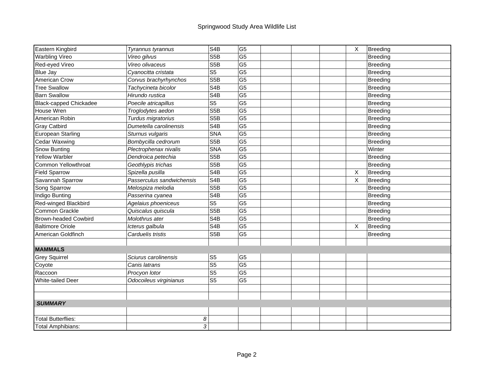| Eastern Kingbird              | Tyrannus tyrannus         | S <sub>4</sub> B | G <sub>5</sub> | Breeding<br>$\times$ |
|-------------------------------|---------------------------|------------------|----------------|----------------------|
| <b>Warbling Vireo</b>         | Vireo gilvus              | S <sub>5</sub> B | G <sub>5</sub> | Breeding             |
| Red-eyed Vireo                | Vireo olivaceus           | S <sub>5</sub> B | G <sub>5</sub> | Breeding             |
| <b>Blue Jay</b>               | Cyanocitta cristata       | S <sub>5</sub>   | G <sub>5</sub> | Breeding             |
| American Crow                 | Corvus brachyrhynchos     | S <sub>5</sub> B | G <sub>5</sub> | Breeding             |
| <b>Tree Swallow</b>           | Tachycineta bicolor       | S <sub>4</sub> B | G <sub>5</sub> | Breeding             |
| <b>Barn Swallow</b>           | Hirundo rustica           | S <sub>4</sub> B | G5             | Breeding             |
| <b>Black-capped Chickadee</b> | Poecile atricapillus      | S <sub>5</sub>   | G5             | Breeding             |
| House Wren                    | Troglodytes aedon         | S <sub>5</sub> B | G <sub>5</sub> | Breeding             |
| American Robin                | Turdus migratorius        | S <sub>5</sub> B | G5             | Breeding             |
| <b>Gray Catbird</b>           | Dumetella carolinensis    | S4B              | G5             | Breeding             |
| <b>European Starling</b>      | Sturnus vulgaris          | <b>SNA</b>       | G <sub>5</sub> | Breeding             |
| <b>Cedar Waxwing</b>          | Bombycilla cedrorum       | S <sub>5</sub> B | G <sub>5</sub> | Breeding             |
| Snow Bunting                  | Plectrophenax nivalis     | <b>SNA</b>       | G <sub>5</sub> | Winter               |
| <b>Yellow Warbler</b>         | Dendroica petechia        | S <sub>5</sub> B | G <sub>5</sub> | Breeding             |
| Common Yellowthroat           | Geothlypis trichas        | S <sub>5</sub> B | G <sub>5</sub> | Breeding             |
| <b>Field Sparrow</b>          | Spizella pusilla          | S <sub>4</sub> B | G <sub>5</sub> | X<br>Breeding        |
| Savannah Sparrow              | Passerculus sandwichensis | S <sub>4</sub> B | G <sub>5</sub> | X<br>Breeding        |
| Song Sparrow                  | Melospiza melodia         | S <sub>5</sub> B | G <sub>5</sub> | Breeding             |
| Indigo Bunting                | Passerina cyanea          | S <sub>4</sub> B | G <sub>5</sub> | Breeding             |
| Red-winged Blackbird          | Agelaius phoeniceus       | S <sub>5</sub>   | G <sub>5</sub> | Breeding             |
| Common Grackle                | Quiscalus quiscula        | S <sub>5</sub> B | G <sub>5</sub> | Breeding             |
| <b>Brown-headed Cowbird</b>   | Molothrus ater            | S <sub>4</sub> B | G <sub>5</sub> | Breeding             |
| <b>Baltimore Oriole</b>       | Icterus galbula           | S <sub>4</sub> B | G <sub>5</sub> | X<br>Breeding        |
| American Goldfinch            | Carduelis tristis         | S <sub>5</sub> B | G <sub>5</sub> | Breeding             |
|                               |                           |                  |                |                      |
| <b>MAMMALS</b>                |                           |                  |                |                      |
| <b>Grey Squirrel</b>          | Sciurus carolinensis      | S <sub>5</sub>   | G <sub>5</sub> |                      |
| Coyote                        | Canis latrans             | S <sub>5</sub>   | G <sub>5</sub> |                      |
| Raccoon                       | Procyon lotor             | S <sub>5</sub>   | G <sub>5</sub> |                      |
| <b>White-tailed Deer</b>      | Odocoileus virginianus    | S <sub>5</sub>   | G <sub>5</sub> |                      |
|                               |                           |                  |                |                      |
|                               |                           |                  |                |                      |
| <b>SUMMARY</b>                |                           |                  |                |                      |
|                               |                           |                  |                |                      |
| <b>Total Butterflies:</b>     |                           | 8                |                |                      |
| <b>Total Amphibians:</b>      |                           | 3                |                |                      |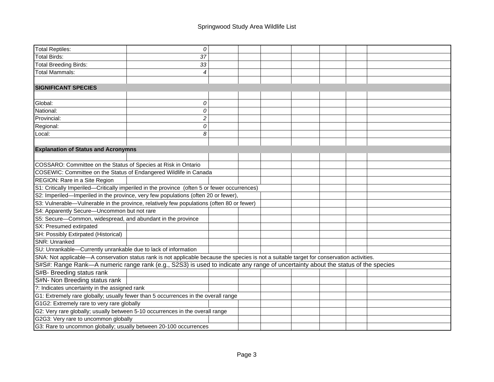| <b>Total Reptiles:</b>                                                                                                                     | 0                |  |  |  |  |  |  |  |
|--------------------------------------------------------------------------------------------------------------------------------------------|------------------|--|--|--|--|--|--|--|
| <b>Total Birds:</b>                                                                                                                        | 37               |  |  |  |  |  |  |  |
| <b>Total Breeding Birds:</b>                                                                                                               | 33               |  |  |  |  |  |  |  |
| Total Mammals:                                                                                                                             | $\boldsymbol{4}$ |  |  |  |  |  |  |  |
|                                                                                                                                            |                  |  |  |  |  |  |  |  |
| <b>SIGNIFICANT SPECIES</b>                                                                                                                 |                  |  |  |  |  |  |  |  |
|                                                                                                                                            |                  |  |  |  |  |  |  |  |
| Global:                                                                                                                                    | 0                |  |  |  |  |  |  |  |
| National:                                                                                                                                  | 0                |  |  |  |  |  |  |  |
| Provincial:                                                                                                                                | $\overline{c}$   |  |  |  |  |  |  |  |
| Regional:                                                                                                                                  | 0                |  |  |  |  |  |  |  |
| Local:                                                                                                                                     | 8                |  |  |  |  |  |  |  |
|                                                                                                                                            |                  |  |  |  |  |  |  |  |
| <b>Explanation of Status and Acronymns</b>                                                                                                 |                  |  |  |  |  |  |  |  |
|                                                                                                                                            |                  |  |  |  |  |  |  |  |
| COSSARO: Committee on the Status of Species at Risk in Ontario                                                                             |                  |  |  |  |  |  |  |  |
| COSEWIC: Committee on the Status of Endangered Wildlife in Canada                                                                          |                  |  |  |  |  |  |  |  |
| REGION: Rare in a Site Region                                                                                                              |                  |  |  |  |  |  |  |  |
| S1: Critically Imperiled-Critically imperiled in the province (often 5 or fewer occurrences)                                               |                  |  |  |  |  |  |  |  |
| S2: Imperiled-Imperiled in the province, very few populations (often 20 or fewer),                                                         |                  |  |  |  |  |  |  |  |
| S3: Vulnerable-Vulnerable in the province, relatively few populations (often 80 or fewer)                                                  |                  |  |  |  |  |  |  |  |
| S4: Apparently Secure-Uncommon but not rare                                                                                                |                  |  |  |  |  |  |  |  |
| S5: Secure-Common, widespread, and abundant in the province                                                                                |                  |  |  |  |  |  |  |  |
| SX: Presumed extirpated                                                                                                                    |                  |  |  |  |  |  |  |  |
| SH: Possibly Extirpated (Historical)                                                                                                       |                  |  |  |  |  |  |  |  |
| <b>SNR: Unranked</b>                                                                                                                       |                  |  |  |  |  |  |  |  |
| SU: Unrankable-Currently unrankable due to lack of information                                                                             |                  |  |  |  |  |  |  |  |
| SNA: Not applicable—A conservation status rank is not applicable because the species is not a suitable target for conservation activities. |                  |  |  |  |  |  |  |  |
| S#S#: Range Rank-A numeric range rank (e.g., S2S3) is used to indicate any range of uncertainty about the status of the species            |                  |  |  |  |  |  |  |  |
| S#B- Breeding status rank                                                                                                                  |                  |  |  |  |  |  |  |  |
| S#N- Non Breeding status rank                                                                                                              |                  |  |  |  |  |  |  |  |
| ?: Indicates uncertainty in the assigned rank                                                                                              |                  |  |  |  |  |  |  |  |
| G1: Extremely rare globally; usually fewer than 5 occurrences in the overall range                                                         |                  |  |  |  |  |  |  |  |
| G1G2: Extremely rare to very rare globally                                                                                                 |                  |  |  |  |  |  |  |  |
| G2: Very rare globally; usually between 5-10 occurrences in the overall range                                                              |                  |  |  |  |  |  |  |  |
| G2G3: Very rare to uncommon globally                                                                                                       |                  |  |  |  |  |  |  |  |
| G3: Rare to uncommon globally; usually between 20-100 occurrences                                                                          |                  |  |  |  |  |  |  |  |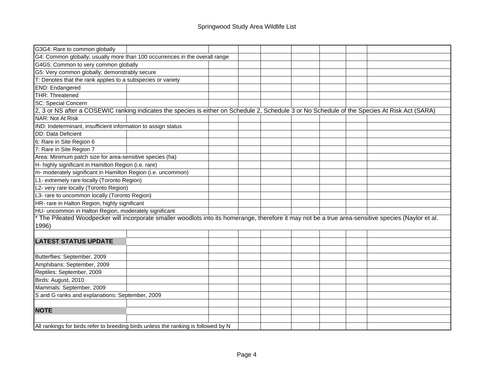## Springwood Study Area Wildlife List

| G3G4: Rare to common globally                                                                                                                      |  |  |  |  |  |  |  |
|----------------------------------------------------------------------------------------------------------------------------------------------------|--|--|--|--|--|--|--|
| G4: Common globally; usually more than 100 occurrences in the overall range                                                                        |  |  |  |  |  |  |  |
| G4G5: Common to very common globally                                                                                                               |  |  |  |  |  |  |  |
| G5: Very common globally; demonstrably secure                                                                                                      |  |  |  |  |  |  |  |
| T: Denotes that the rank applies to a subspecies or variety                                                                                        |  |  |  |  |  |  |  |
| <b>END: Endangered</b>                                                                                                                             |  |  |  |  |  |  |  |
| THR: Threatened                                                                                                                                    |  |  |  |  |  |  |  |
| <b>SC: Special Concern</b>                                                                                                                         |  |  |  |  |  |  |  |
| 2, 3 or NS after a COSEWIC ranking indicates the species is either on Schedule 2, Schedule 3 or No Schedule of the Species At Risk Act (SARA)      |  |  |  |  |  |  |  |
| NAR: Not At Risk                                                                                                                                   |  |  |  |  |  |  |  |
| IND: Indeterminant, insufficient information to assign status                                                                                      |  |  |  |  |  |  |  |
| <b>DD: Data Deficient</b>                                                                                                                          |  |  |  |  |  |  |  |
| 6: Rare in Site Region 6                                                                                                                           |  |  |  |  |  |  |  |
| 7: Rare in Site Region 7                                                                                                                           |  |  |  |  |  |  |  |
| Area: Minimum patch size for area-sensitive species (ha)                                                                                           |  |  |  |  |  |  |  |
| H- highly significant in Hamilton Region (i.e. rare)                                                                                               |  |  |  |  |  |  |  |
| m- moderately significant in Hamilton Region (i.e. uncommon)                                                                                       |  |  |  |  |  |  |  |
| L1- extremely rare locally (Toronto Region)                                                                                                        |  |  |  |  |  |  |  |
| L2- very rare locally (Toronto Region)                                                                                                             |  |  |  |  |  |  |  |
| L3- rare to uncommon locally (Toronto Region)                                                                                                      |  |  |  |  |  |  |  |
| HR- rare in Halton Region, highly significant                                                                                                      |  |  |  |  |  |  |  |
| HU- uncommon in Halton Region, moderately significant                                                                                              |  |  |  |  |  |  |  |
| The Pileated Woodpecker will incorporate smaller woodlots into its homerange, therefore it may not be a true area-sensitive species (Naylor et al. |  |  |  |  |  |  |  |
| 1996)                                                                                                                                              |  |  |  |  |  |  |  |
|                                                                                                                                                    |  |  |  |  |  |  |  |
| <b>LATEST STATUS UPDATE</b>                                                                                                                        |  |  |  |  |  |  |  |
|                                                                                                                                                    |  |  |  |  |  |  |  |
| Butterflies: September, 2009                                                                                                                       |  |  |  |  |  |  |  |
| Amphibans: September, 2009                                                                                                                         |  |  |  |  |  |  |  |
| Reptiles: September, 2009                                                                                                                          |  |  |  |  |  |  |  |
| Birds: August, 2010                                                                                                                                |  |  |  |  |  |  |  |
| Mammals: September, 2009                                                                                                                           |  |  |  |  |  |  |  |
| S and G ranks and explanations: September, 2009                                                                                                    |  |  |  |  |  |  |  |
|                                                                                                                                                    |  |  |  |  |  |  |  |
| <b>NOTE</b>                                                                                                                                        |  |  |  |  |  |  |  |
|                                                                                                                                                    |  |  |  |  |  |  |  |
| All rankings for birds refer to breeding birds unless the ranking is followed by N                                                                 |  |  |  |  |  |  |  |